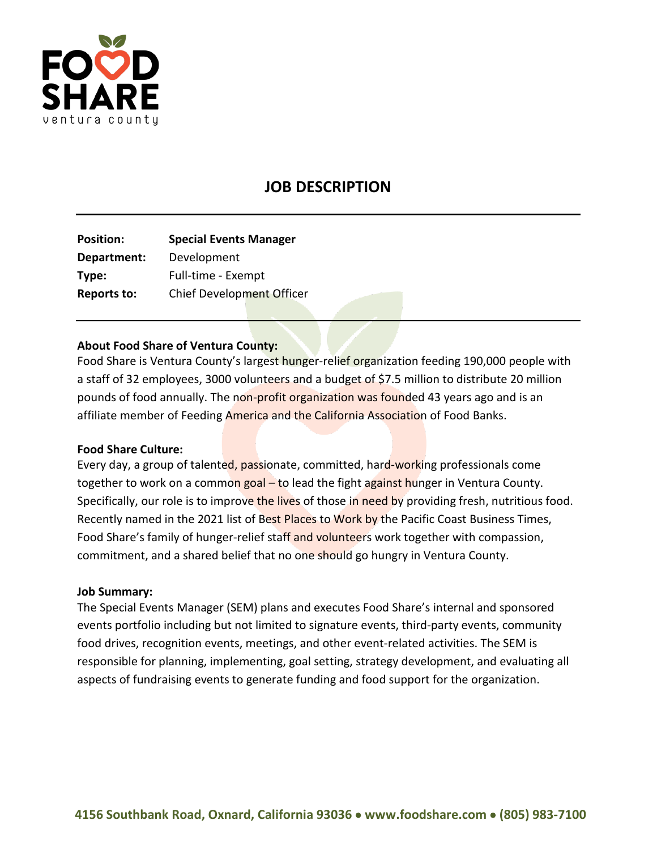

# **JOB DESCRIPTION**

| <b>Position:</b>   | <b>Special Events Manager</b> |
|--------------------|-------------------------------|
| Department:        | Development                   |
|                    | Full-time - Exempt            |
| <b>Reports to:</b> | Chief Development Officer     |
|                    |                               |

### **About Food Share of Ventura County:**

Food Share is Ventura County's largest hunger-relief organization feeding 190,000 people with a staff of 32 employees, 3000 volunteers and a budget of \$7.5 million to distribute 20 million pounds of food annually. The non-profit organization was founded 43 years ago and is an affiliate member of Feeding America and the California Association of Food Banks.

#### **Food Share Culture:**

Every day, a group of talented, passionate, committed, hard-working professionals come together to work on a common goal – to lead the fight against hunger in Ventura County. Specifically, our role is to improve the lives of those in need by providing fresh, nutritious food. Recently named in the 2021 list of Best Places to Work by the Pacific Coast Business Times, Food Share's family of hunger-relief staff and volunteers work together with compassion, commitment, and a shared belief that no one should go hungry in Ventura County.

#### **Job Summary:**

The Special Events Manager (SEM) plans and executes Food Share's internal and sponsored events portfolio including but not limited to signature events, third-party events, community food drives, recognition events, meetings, and other event-related activities. The SEM is responsible for planning, implementing, goal setting, strategy development, and evaluating all aspects of fundraising events to generate funding and food support for the organization.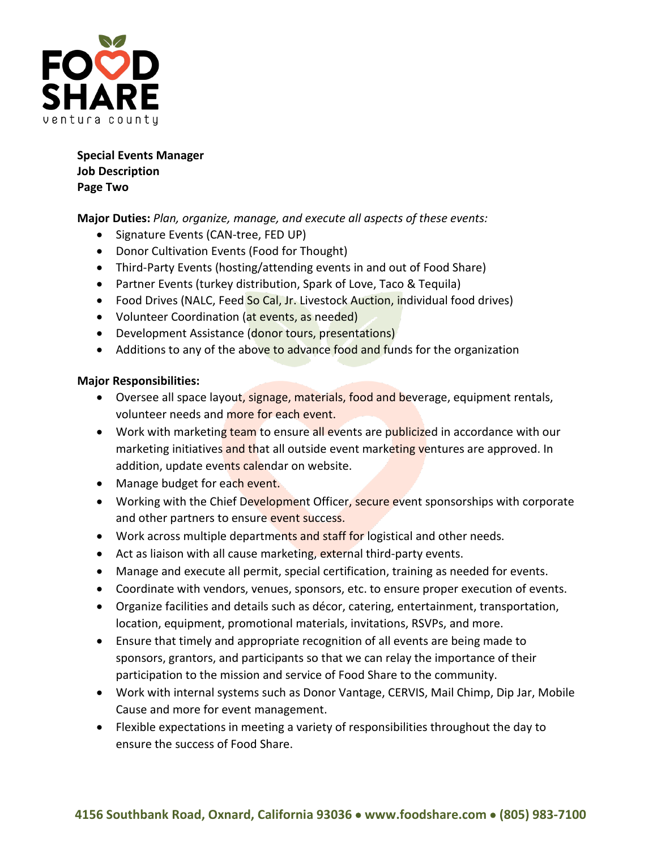

**Special Events Manager Job Description Page Two**

**Major Duties:** *Plan, organize, manage, and execute all aspects of these events:*

- Signature Events (CAN-tree, FED UP)
- Donor Cultivation Events (Food for Thought)
- Third-Party Events (hosting/attending events in and out of Food Share)
- Partner Events (turkey distribution, Spark of Love, Taco & Tequila)
- Food Drives (NALC, Feed So Cal, Jr. Livestock Auction, individual food drives)
- Volunteer Coordination (at events, as needed)
- Development Assistance (donor tours, presentations)
- Additions to any of the above to advance food and funds for the organization

#### **Major Responsibilities:**

- Oversee all space layout, signage, materials, food and beverage, equipment rentals, volunteer needs and more for each event.
- Work with marketing team to ensure all events are publicized in accordance with our marketing initiatives and that all outside event marketing ventures are approved. In addition, update events calendar on website.
- Manage budget for each event.
- Working with the Chief Development Officer, secure event sponsorships with corporate and other partners to ensure event success.
- Work across multiple departments and staff for logistical and other needs.
- Act as liaison with all cause marketing, external third-party events.
- Manage and execute all permit, special certification, training as needed for events.
- Coordinate with vendors, venues, sponsors, etc. to ensure proper execution of events.
- Organize facilities and details such as décor, catering, entertainment, transportation, location, equipment, promotional materials, invitations, RSVPs, and more.
- Ensure that timely and appropriate recognition of all events are being made to sponsors, grantors, and participants so that we can relay the importance of their participation to the mission and service of Food Share to the community.
- Work with internal systems such as Donor Vantage, CERVIS, Mail Chimp, Dip Jar, Mobile Cause and more for event management.
- Flexible expectations in meeting a variety of responsibilities throughout the day to ensure the success of Food Share.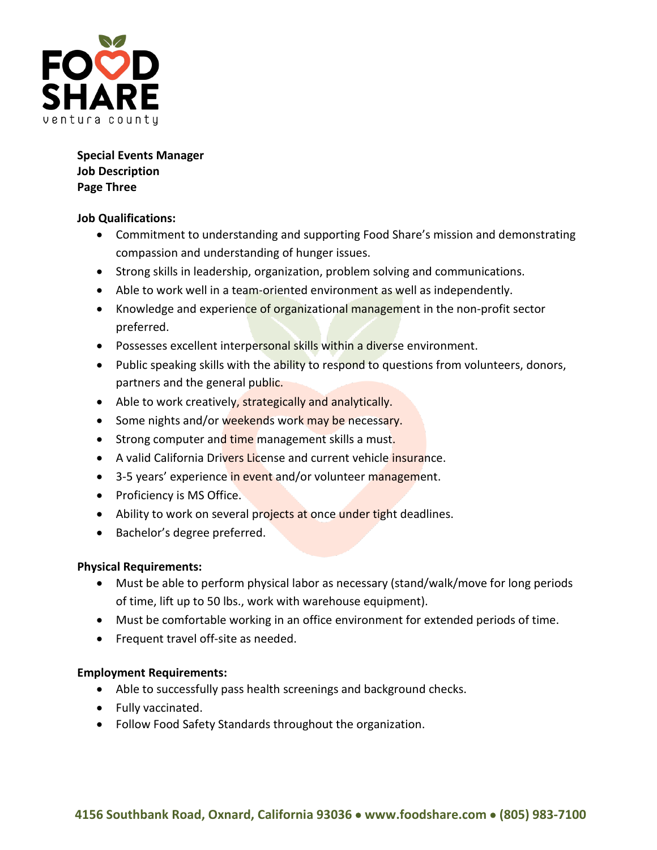

**Special Events Manager Job Description Page Three**

## **Job Qualifications:**

- Commitment to understanding and supporting Food Share's mission and demonstrating compassion and understanding of hunger issues.
- Strong skills in leadership, organization, problem solving and communications.
- Able to work well in a team-oriented environment as well as independently.
- Knowledge and experience of organizational management in the non-profit sector preferred.
- Possesses excellent interpersonal skills within a diverse environment.
- Public speaking skills with the ability to respond to questions from volunteers, donors, partners and the general public.
- Able to work creatively, strategically and analytically.
- Some nights and/or weekends work may be necessary.
- Strong computer and time management skills a must.
- A valid California Drivers License and current vehicle *insurance*.
- 3-5 years' experience in event and/or volunteer management.
- Proficiency is MS Office.
- Ability to work on several projects at once under tight deadlines.
- Bachelor's degree preferred.

# **Physical Requirements:**

- Must be able to perform physical labor as necessary (stand/walk/move for long periods of time, lift up to 50 lbs., work with warehouse equipment).
- Must be comfortable working in an office environment for extended periods of time.
- Frequent travel off-site as needed.

# **Employment Requirements:**

- Able to successfully pass health screenings and background checks.
- Fully vaccinated.
- Follow Food Safety Standards throughout the organization.